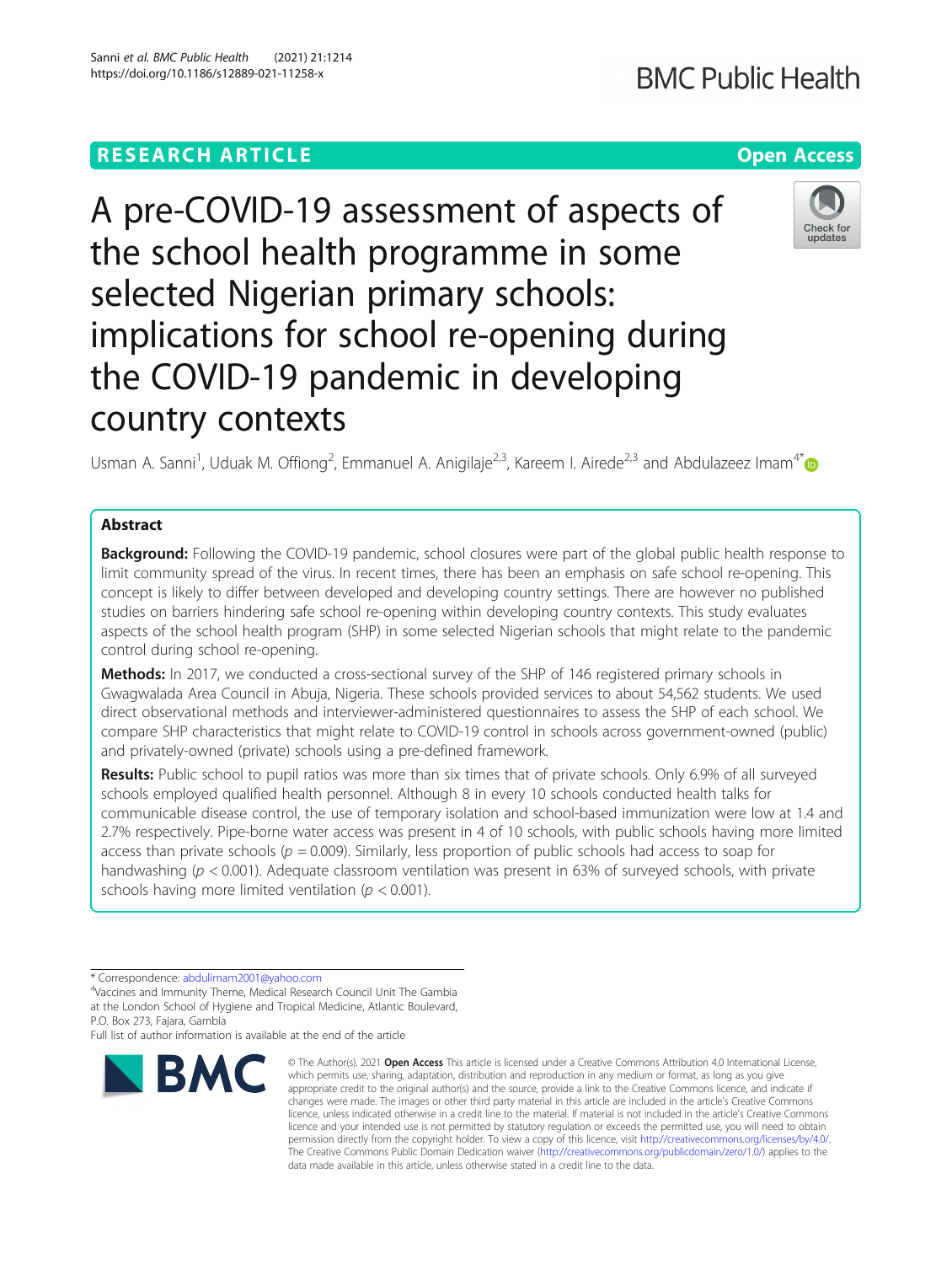# **RESEARCH ARTICLE Example 2014 12:30 The Contract of Contract ACCESS**

# A pre-COVID-19 assessment of aspects of the school health programme in some selected Nigerian primary schools: implications for school re-opening during the COVID-19 pandemic in developing country contexts

Usman A. Sanni<sup>1</sup>, Uduak M. Offiong<sup>2</sup>, Emmanuel A. Anigilaje<sup>2,3</sup>, Kareem I. Airede<sup>2,3</sup> and Abdulazeez Imam<sup>4[\\*](http://orcid.org/0000-0001-5070-3060)</sup>

# Abstract

**Background:** Following the COVID-19 pandemic, school closures were part of the global public health response to limit community spread of the virus. In recent times, there has been an emphasis on safe school re-opening. This concept is likely to differ between developed and developing country settings. There are however no published studies on barriers hindering safe school re-opening within developing country contexts. This study evaluates aspects of the school health program (SHP) in some selected Nigerian schools that might relate to the pandemic control during school re-opening.

Methods: In 2017, we conducted a cross-sectional survey of the SHP of 146 registered primary schools in Gwagwalada Area Council in Abuja, Nigeria. These schools provided services to about 54,562 students. We used direct observational methods and interviewer-administered questionnaires to assess the SHP of each school. We compare SHP characteristics that might relate to COVID-19 control in schools across government-owned (public) and privately-owned (private) schools using a pre-defined framework.

Results: Public school to pupil ratios was more than six times that of private schools. Only 6.9% of all surveyed schools employed qualified health personnel. Although 8 in every 10 schools conducted health talks for communicable disease control, the use of temporary isolation and school-based immunization were low at 1.4 and 2.7% respectively. Pipe-borne water access was present in 4 of 10 schools, with public schools having more limited access than private schools ( $p = 0.009$ ). Similarly, less proportion of public schools had access to soap for handwashing ( $p < 0.001$ ). Adequate classroom ventilation was present in 63% of surveyed schools, with private schools having more limited ventilation ( $p < 0.001$ ).

Full list of author information is available at the end of the article



<sup>©</sup> The Author(s), 2021 **Open Access** This article is licensed under a Creative Commons Attribution 4.0 International License, which permits use, sharing, adaptation, distribution and reproduction in any medium or format, as long as you give appropriate credit to the original author(s) and the source, provide a link to the Creative Commons licence, and indicate if changes were made. The images or other third party material in this article are included in the article's Creative Commons licence, unless indicated otherwise in a credit line to the material. If material is not included in the article's Creative Commons licence and your intended use is not permitted by statutory regulation or exceeds the permitted use, you will need to obtain permission directly from the copyright holder. To view a copy of this licence, visit [http://creativecommons.org/licenses/by/4.0/.](http://creativecommons.org/licenses/by/4.0/) The Creative Commons Public Domain Dedication waiver [\(http://creativecommons.org/publicdomain/zero/1.0/](http://creativecommons.org/publicdomain/zero/1.0/)) applies to the data made available in this article, unless otherwise stated in a credit line to the data.





<sup>\*</sup> Correspondence: [abdulimam2001@yahoo.com](mailto:abdulimam2001@yahoo.com) <sup>4</sup>

Vaccines and Immunity Theme, Medical Research Council Unit The Gambia at the London School of Hygiene and Tropical Medicine, Atlantic Boulevard, P.O. Box 273, Fajara, Gambia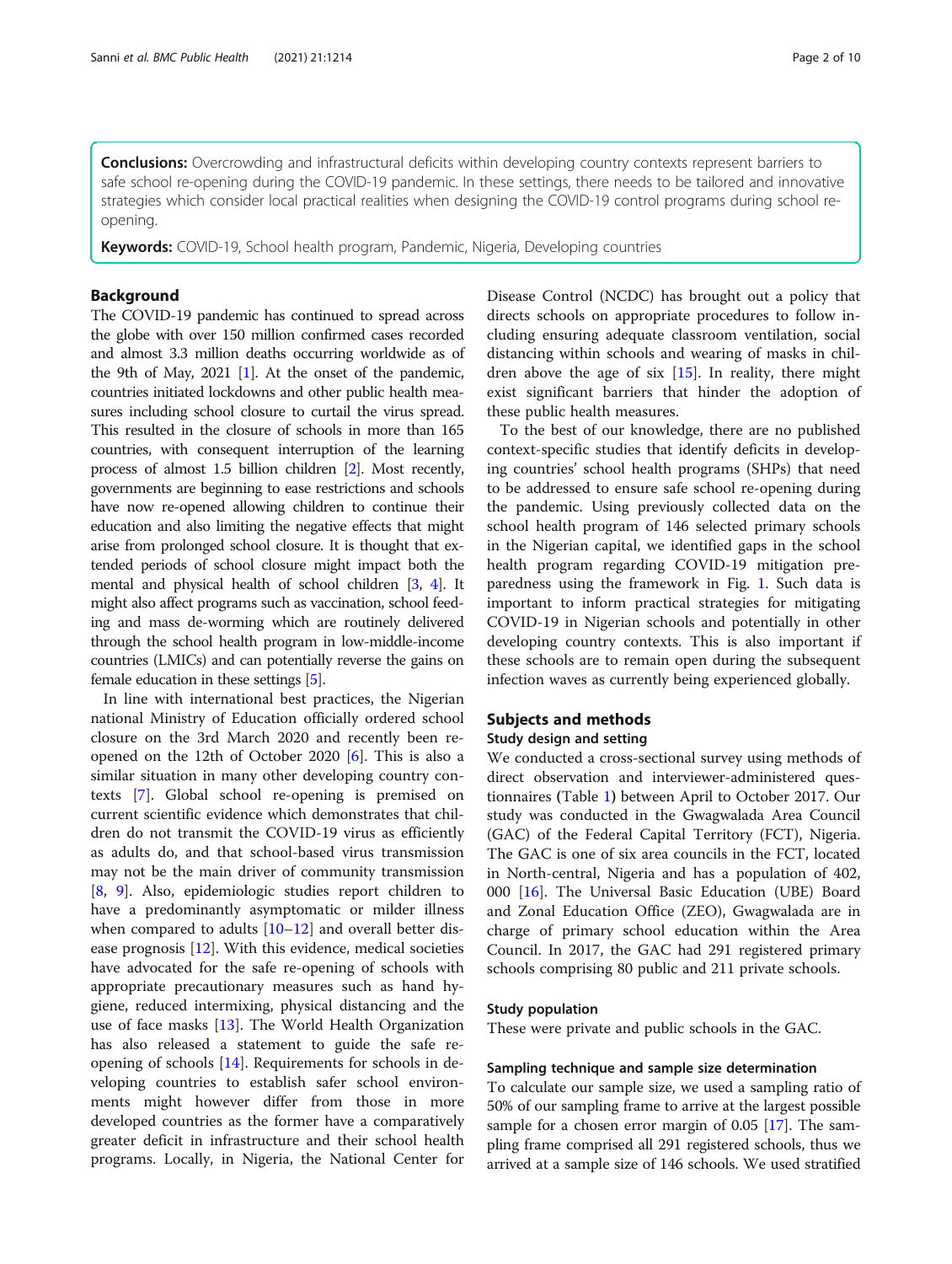**Conclusions:** Overcrowding and infrastructural deficits within developing country contexts represent barriers to safe school re-opening during the COVID-19 pandemic. In these settings, there needs to be tailored and innovative strategies which consider local practical realities when designing the COVID-19 control programs during school reopening.

Keywords: COVID-19, School health program, Pandemic, Nigeria, Developing countries

# Background

The COVID-19 pandemic has continued to spread across the globe with over 150 million confirmed cases recorded and almost 3.3 million deaths occurring worldwide as of the 9th of May, 2021 [\[1\]](#page-8-0). At the onset of the pandemic, countries initiated lockdowns and other public health measures including school closure to curtail the virus spread. This resulted in the closure of schools in more than 165 countries, with consequent interruption of the learning process of almost 1.5 billion children [\[2\]](#page-8-0). Most recently, governments are beginning to ease restrictions and schools have now re-opened allowing children to continue their education and also limiting the negative effects that might arise from prolonged school closure. It is thought that extended periods of school closure might impact both the mental and physical health of school children [\[3](#page-8-0), [4](#page-8-0)]. It might also affect programs such as vaccination, school feeding and mass de-worming which are routinely delivered through the school health program in low-middle-income countries (LMICs) and can potentially reverse the gains on female education in these settings [\[5\]](#page-8-0).

In line with international best practices, the Nigerian national Ministry of Education officially ordered school closure on the 3rd March 2020 and recently been reopened on the 12th of October 2020 [[6\]](#page-8-0). This is also a similar situation in many other developing country contexts [\[7](#page-8-0)]. Global school re-opening is premised on current scientific evidence which demonstrates that children do not transmit the COVID-19 virus as efficiently as adults do, and that school-based virus transmission may not be the main driver of community transmission [[8,](#page-8-0) [9\]](#page-8-0). Also, epidemiologic studies report children to have a predominantly asymptomatic or milder illness when compared to adults  $[10-12]$  $[10-12]$  $[10-12]$  $[10-12]$  $[10-12]$  and overall better disease prognosis [[12\]](#page-8-0). With this evidence, medical societies have advocated for the safe re-opening of schools with appropriate precautionary measures such as hand hygiene, reduced intermixing, physical distancing and the use of face masks [\[13](#page-8-0)]. The World Health Organization has also released a statement to guide the safe reopening of schools [\[14](#page-8-0)]. Requirements for schools in developing countries to establish safer school environments might however differ from those in more developed countries as the former have a comparatively greater deficit in infrastructure and their school health programs. Locally, in Nigeria, the National Center for Disease Control (NCDC) has brought out a policy that directs schools on appropriate procedures to follow including ensuring adequate classroom ventilation, social distancing within schools and wearing of masks in children above the age of six  $[15]$  $[15]$ . In reality, there might exist significant barriers that hinder the adoption of these public health measures.

To the best of our knowledge, there are no published context-specific studies that identify deficits in developing countries' school health programs (SHPs) that need to be addressed to ensure safe school re-opening during the pandemic. Using previously collected data on the school health program of 146 selected primary schools in the Nigerian capital, we identified gaps in the school health program regarding COVID-19 mitigation preparedness using the framework in Fig. [1.](#page-2-0) Such data is important to inform practical strategies for mitigating COVID-19 in Nigerian schools and potentially in other developing country contexts. This is also important if these schools are to remain open during the subsequent infection waves as currently being experienced globally.

### Subjects and methods

### Study design and setting

We conducted a cross-sectional survey using methods of direct observation and interviewer-administered questionnaires (Table [1](#page-2-0)) between April to October 2017. Our study was conducted in the Gwagwalada Area Council (GAC) of the Federal Capital Territory (FCT), Nigeria. The GAC is one of six area councils in the FCT, located in North-central, Nigeria and has a population of 402, 000 [[16](#page-8-0)]. The Universal Basic Education (UBE) Board and Zonal Education Office (ZEO), Gwagwalada are in charge of primary school education within the Area Council. In 2017, the GAC had 291 registered primary schools comprising 80 public and 211 private schools.

# Study population

These were private and public schools in the GAC.

### Sampling technique and sample size determination

To calculate our sample size, we used a sampling ratio of 50% of our sampling frame to arrive at the largest possible sample for a chosen error margin of 0.05 [\[17\]](#page-8-0). The sampling frame comprised all 291 registered schools, thus we arrived at a sample size of 146 schools. We used stratified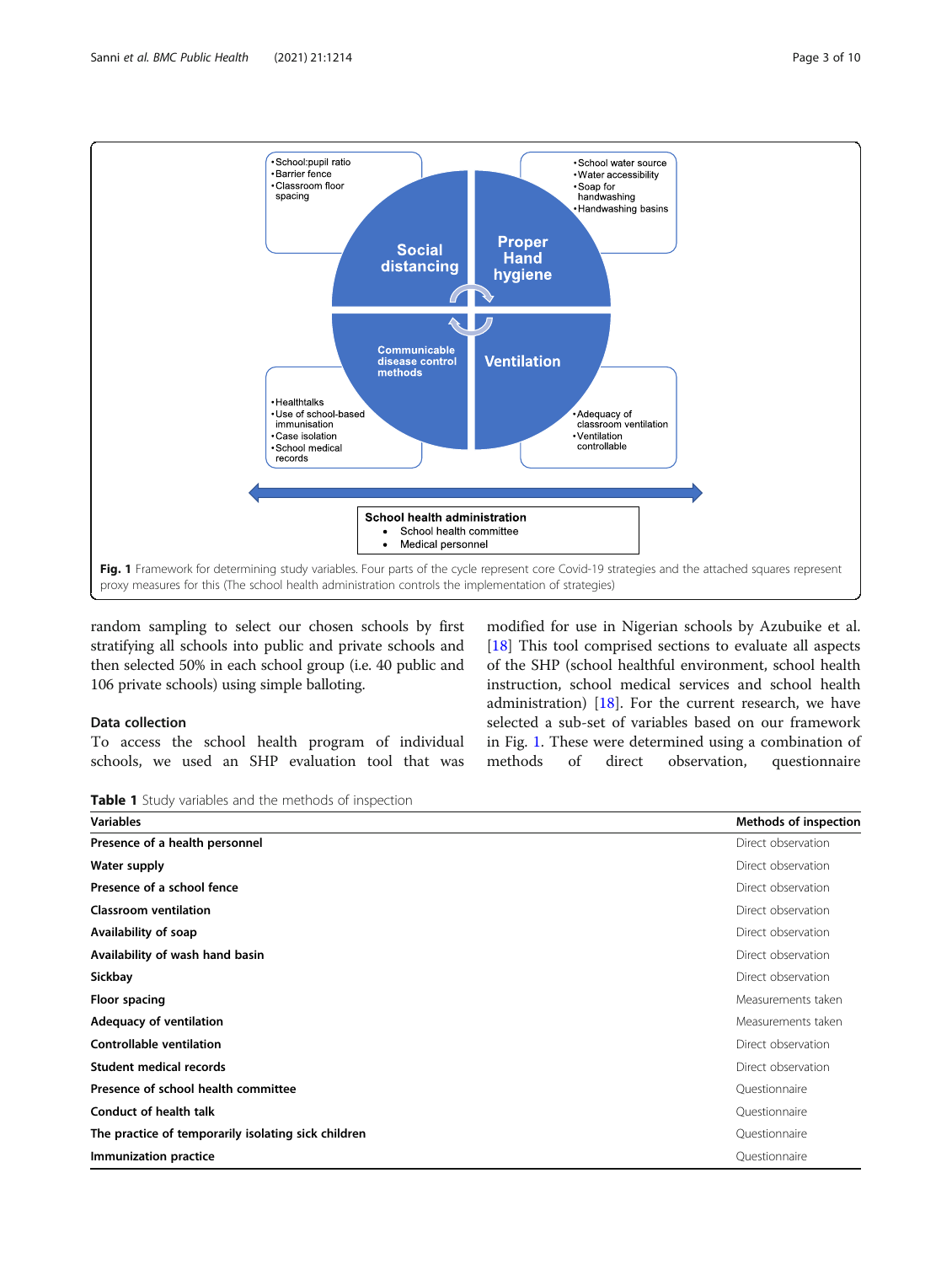<span id="page-2-0"></span>

random sampling to select our chosen schools by first stratifying all schools into public and private schools and then selected 50% in each school group (i.e. 40 public and 106 private schools) using simple balloting.

# Data collection

To access the school health program of individual schools, we used an SHP evaluation tool that was

modified for use in Nigerian schools by Azubuike et al. [[18\]](#page-8-0) This tool comprised sections to evaluate all aspects of the SHP (school healthful environment, school health instruction, school medical services and school health administration) [[18\]](#page-8-0). For the current research, we have selected a sub-set of variables based on our framework in Fig. 1. These were determined using a combination of methods of direct observation, questionnaire

Table 1 Study variables and the methods of inspection

| <b>Variables</b>                                    | Methods of inspection |
|-----------------------------------------------------|-----------------------|
| Presence of a health personnel                      | Direct observation    |
| Water supply                                        | Direct observation    |
| Presence of a school fence                          | Direct observation    |
| <b>Classroom ventilation</b>                        | Direct observation    |
| Availability of soap                                | Direct observation    |
| Availability of wash hand basin                     | Direct observation    |
| Sickbay                                             | Direct observation    |
| Floor spacing                                       | Measurements taken    |
| Adequacy of ventilation                             | Measurements taken    |
| Controllable ventilation                            | Direct observation    |
| Student medical records                             | Direct observation    |
| Presence of school health committee                 | Questionnaire         |
| <b>Conduct of health talk</b>                       | Questionnaire         |
| The practice of temporarily isolating sick children | Questionnaire         |
| Immunization practice                               | Questionnaire         |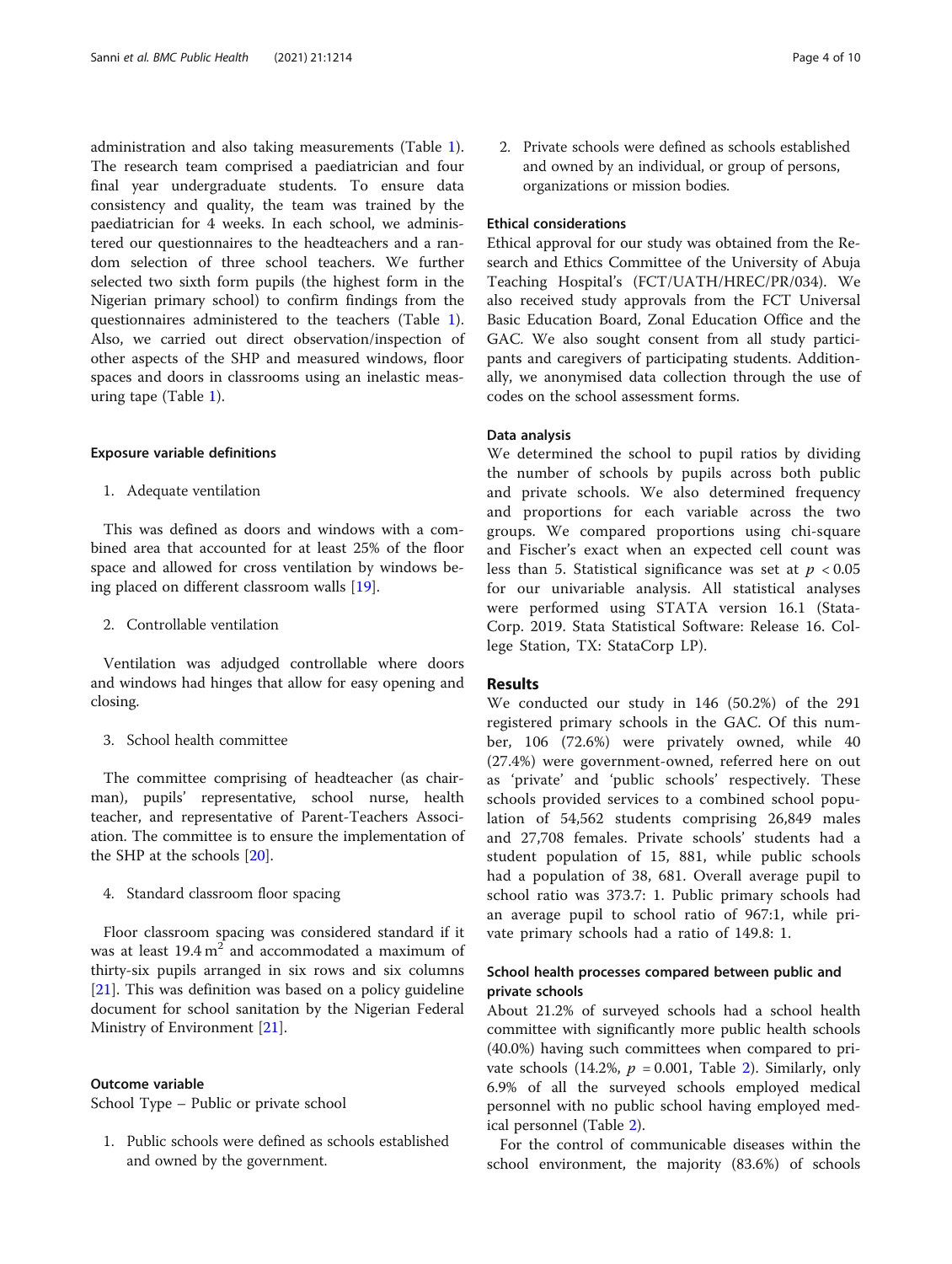administration and also taking measurements (Table [1](#page-2-0)). The research team comprised a paediatrician and four final year undergraduate students. To ensure data consistency and quality, the team was trained by the paediatrician for 4 weeks. In each school, we administered our questionnaires to the headteachers and a random selection of three school teachers. We further selected two sixth form pupils (the highest form in the Nigerian primary school) to confirm findings from the questionnaires administered to the teachers (Table [1](#page-2-0)). Also, we carried out direct observation/inspection of other aspects of the SHP and measured windows, floor spaces and doors in classrooms using an inelastic measuring tape (Table [1](#page-2-0)).

#### Exposure variable definitions

1. Adequate ventilation

This was defined as doors and windows with a combined area that accounted for at least 25% of the floor space and allowed for cross ventilation by windows being placed on different classroom walls [[19](#page-8-0)].

2. Controllable ventilation

Ventilation was adjudged controllable where doors and windows had hinges that allow for easy opening and closing.

# 3. School health committee

The committee comprising of headteacher (as chairman), pupils' representative, school nurse, health teacher, and representative of Parent-Teachers Association. The committee is to ensure the implementation of the SHP at the schools [\[20\]](#page-8-0).

4. Standard classroom floor spacing

Floor classroom spacing was considered standard if it was at least  $19.4 \text{ m}^2$  and accommodated a maximum of thirty-six pupils arranged in six rows and six columns [[21\]](#page-8-0). This was definition was based on a policy guideline document for school sanitation by the Nigerian Federal Ministry of Environment [[21\]](#page-8-0).

# Outcome variable

School Type – Public or private school

1. Public schools were defined as schools established and owned by the government.

2. Private schools were defined as schools established and owned by an individual, or group of persons, organizations or mission bodies.

# Ethical considerations

Ethical approval for our study was obtained from the Research and Ethics Committee of the University of Abuja Teaching Hospital's (FCT/UATH/HREC/PR/034). We also received study approvals from the FCT Universal Basic Education Board, Zonal Education Office and the GAC. We also sought consent from all study participants and caregivers of participating students. Additionally, we anonymised data collection through the use of codes on the school assessment forms.

# Data analysis

We determined the school to pupil ratios by dividing the number of schools by pupils across both public and private schools. We also determined frequency and proportions for each variable across the two groups. We compared proportions using chi-square and Fischer's exact when an expected cell count was less than 5. Statistical significance was set at  $p < 0.05$ for our univariable analysis. All statistical analyses were performed using STATA version 16.1 (Stata-Corp. 2019. Stata Statistical Software: Release 16. College Station, TX: StataCorp LP).

# Results

We conducted our study in 146 (50.2%) of the 291 registered primary schools in the GAC. Of this number, 106 (72.6%) were privately owned, while 40 (27.4%) were government-owned, referred here on out as 'private' and 'public schools' respectively. These schools provided services to a combined school population of 54,562 students comprising 26,849 males and 27,708 females. Private schools' students had a student population of 15, 881, while public schools had a population of 38, 681. Overall average pupil to school ratio was 373.7: 1. Public primary schools had an average pupil to school ratio of 967:1, while private primary schools had a ratio of 149.8: 1.

# School health processes compared between public and private schools

About 21.2% of surveyed schools had a school health committee with significantly more public health schools (40.0%) having such committees when compared to private schools (14.2%,  $p = 0.001$ , Table [2\)](#page-4-0). Similarly, only 6.9% of all the surveyed schools employed medical personnel with no public school having employed medical personnel (Table [2](#page-4-0)).

For the control of communicable diseases within the school environment, the majority (83.6%) of schools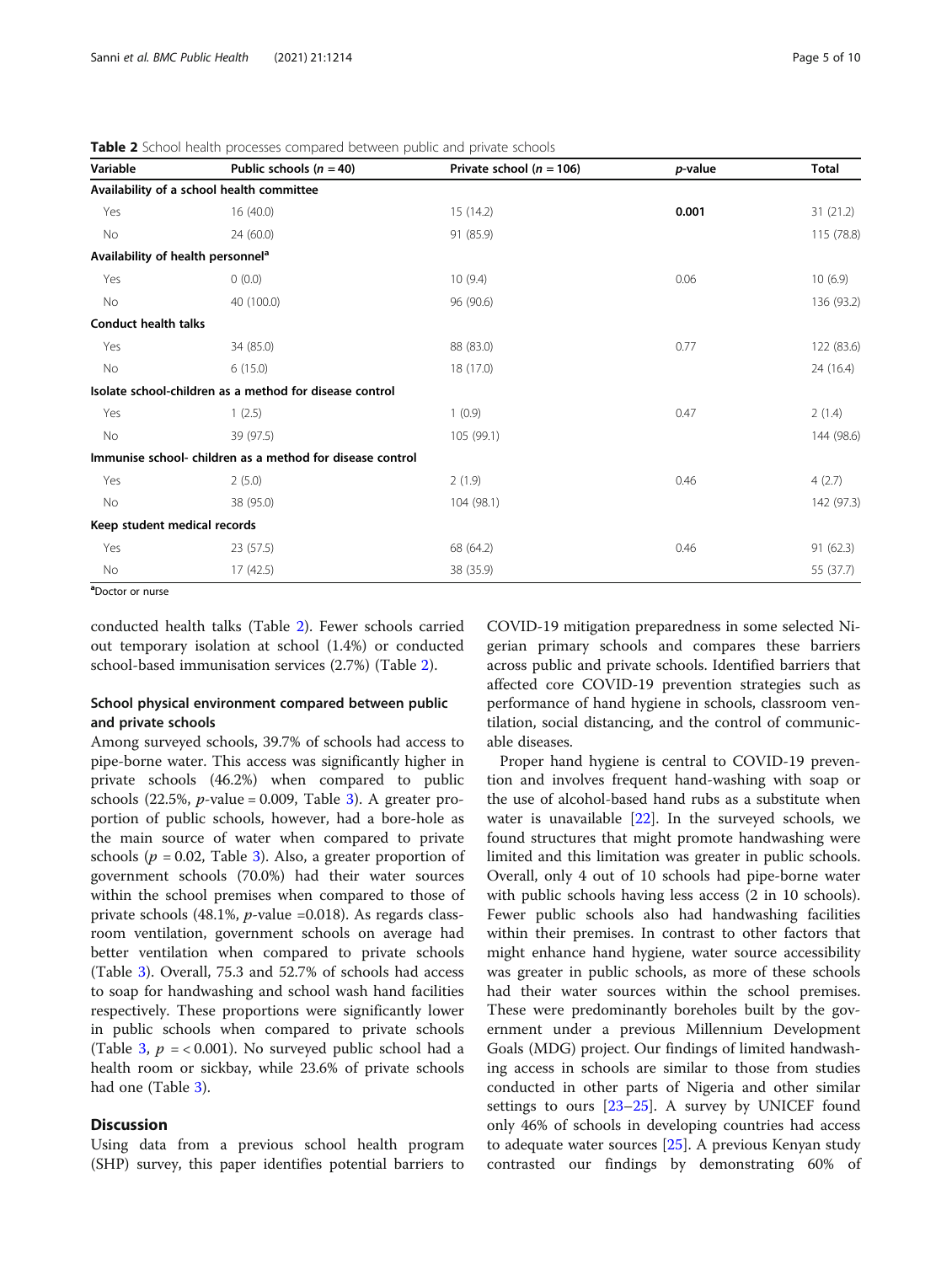| Variable                                      | Public schools $(n = 40)$                                 | Private school ( $n = 106$ ) | <i>p</i> -value | Total      |
|-----------------------------------------------|-----------------------------------------------------------|------------------------------|-----------------|------------|
|                                               | Availability of a school health committee                 |                              |                 |            |
| Yes                                           | 16(40.0)                                                  | 15(14.2)                     | 0.001           | 31(21.2)   |
| No                                            | 24(60.0)                                                  | 91 (85.9)                    |                 | 115 (78.8) |
| Availability of health personnel <sup>a</sup> |                                                           |                              |                 |            |
| Yes                                           | 0(0.0)                                                    | 10(9.4)                      | 0.06            | 10(6.9)    |
| No                                            | 40 (100.0)                                                | 96 (90.6)                    |                 | 136 (93.2) |
| <b>Conduct health talks</b>                   |                                                           |                              |                 |            |
| Yes                                           | 34 (85.0)                                                 | 88 (83.0)                    | 0.77            | 122 (83.6) |
| No                                            | 6(15.0)                                                   | 18 (17.0)                    |                 | 24 (16.4)  |
|                                               | Isolate school-children as a method for disease control   |                              |                 |            |
| Yes                                           | 1(2.5)                                                    | 1(0.9)                       | 0.47            | 2(1.4)     |
| No                                            | 39 (97.5)                                                 | 105 (99.1)                   |                 | 144 (98.6) |
|                                               | Immunise school- children as a method for disease control |                              |                 |            |
| Yes                                           | 2(5.0)                                                    | 2(1.9)                       | 0.46            | 4(2.7)     |
| No                                            | 38 (95.0)                                                 | 104 (98.1)                   |                 | 142 (97.3) |
| Keep student medical records                  |                                                           |                              |                 |            |
| Yes                                           | 23(57.5)                                                  | 68 (64.2)                    | 0.46            | 91(62.3)   |
| No                                            | 17 (42.5)                                                 | 38 (35.9)                    |                 | 55 (37.7)  |
|                                               |                                                           |                              |                 |            |

<span id="page-4-0"></span>Table 2 School health processes compared between public and private schools

a Doctor or nurse

conducted health talks (Table 2). Fewer schools carried out temporary isolation at school (1.4%) or conducted school-based immunisation services (2.7%) (Table 2).

# School physical environment compared between public and private schools

Among surveyed schools, 39.7% of schools had access to pipe-borne water. This access was significantly higher in private schools (46.2%) when compared to public schools  $(22.5\%, p-value = 0.009,$  Table [3](#page-5-0)). A greater proportion of public schools, however, had a bore-hole as the main source of water when compared to private schools ( $p = 0.02$ , Table [3\)](#page-5-0). Also, a greater proportion of government schools (70.0%) had their water sources within the school premises when compared to those of private schools (48.1%, p-value =0.018). As regards classroom ventilation, government schools on average had better ventilation when compared to private schools (Table [3](#page-5-0)). Overall, 75.3 and 52.7% of schools had access to soap for handwashing and school wash hand facilities respectively. These proportions were significantly lower in public schools when compared to private schools (Table [3,](#page-5-0)  $p = < 0.001$ ). No surveyed public school had a health room or sickbay, while 23.6% of private schools had one (Table [3](#page-5-0)).

# **Discussion**

Using data from a previous school health program (SHP) survey, this paper identifies potential barriers to

COVID-19 mitigation preparedness in some selected Nigerian primary schools and compares these barriers across public and private schools. Identified barriers that affected core COVID-19 prevention strategies such as performance of hand hygiene in schools, classroom ventilation, social distancing, and the control of communicable diseases.

Proper hand hygiene is central to COVID-19 prevention and involves frequent hand-washing with soap or the use of alcohol-based hand rubs as a substitute when water is unavailable [\[22](#page-8-0)]. In the surveyed schools, we found structures that might promote handwashing were limited and this limitation was greater in public schools. Overall, only 4 out of 10 schools had pipe-borne water with public schools having less access (2 in 10 schools). Fewer public schools also had handwashing facilities within their premises. In contrast to other factors that might enhance hand hygiene, water source accessibility was greater in public schools, as more of these schools had their water sources within the school premises. These were predominantly boreholes built by the government under a previous Millennium Development Goals (MDG) project. Our findings of limited handwashing access in schools are similar to those from studies conducted in other parts of Nigeria and other similar settings to ours  $[23-25]$  $[23-25]$  $[23-25]$ . A survey by UNICEF found only 46% of schools in developing countries had access to adequate water sources [[25](#page-8-0)]. A previous Kenyan study contrasted our findings by demonstrating 60% of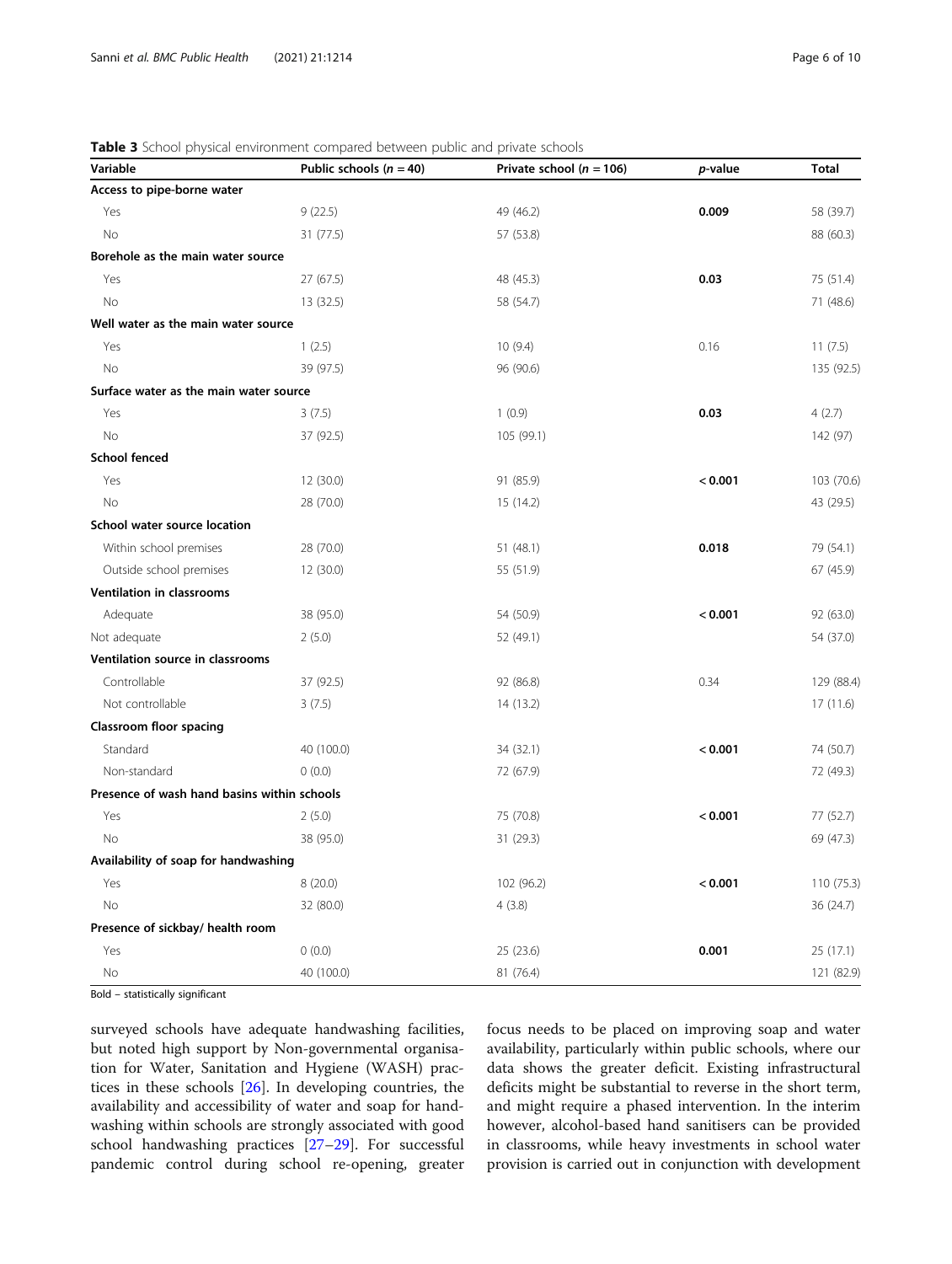| Variable                                    | Public schools ( $n = 40$ ) | Private school ( $n = 106$ ) | p-value | <b>Total</b> |
|---------------------------------------------|-----------------------------|------------------------------|---------|--------------|
| Access to pipe-borne water                  |                             |                              |         |              |
| Yes                                         | 9(22.5)                     | 49 (46.2)                    | 0.009   | 58 (39.7)    |
| No                                          | 31 (77.5)                   | 57 (53.8)                    |         | 88 (60.3)    |
| Borehole as the main water source           |                             |                              |         |              |
| Yes                                         | 27 (67.5)                   | 48 (45.3)                    | 0.03    | 75 (51.4)    |
| No                                          | 13 (32.5)                   | 58 (54.7)                    |         | 71 (48.6)    |
| Well water as the main water source         |                             |                              |         |              |
| Yes                                         | 1(2.5)                      | 10(9.4)                      | 0.16    | 11(7.5)      |
| <b>No</b>                                   | 39 (97.5)                   | 96 (90.6)                    |         | 135 (92.5)   |
| Surface water as the main water source      |                             |                              |         |              |
| Yes                                         | 3(7.5)                      | 1(0.9)                       | 0.03    | 4(2.7)       |
| No                                          | 37 (92.5)                   | 105 (99.1)                   |         | 142 (97)     |
| <b>School fenced</b>                        |                             |                              |         |              |
| Yes                                         | 12 (30.0)                   | 91 (85.9)                    | < 0.001 | 103 (70.6)   |
| No                                          | 28 (70.0)                   | 15(14.2)                     |         | 43 (29.5)    |
| School water source location                |                             |                              |         |              |
| Within school premises                      | 28 (70.0)                   | 51 (48.1)                    | 0.018   | 79 (54.1)    |
| Outside school premises                     | 12 (30.0)                   | 55 (51.9)                    |         | 67 (45.9)    |
| <b>Ventilation in classrooms</b>            |                             |                              |         |              |
| Adequate                                    | 38 (95.0)                   | 54 (50.9)                    | < 0.001 | 92 (63.0)    |
| Not adequate                                | 2(5.0)                      | 52 (49.1)                    |         | 54 (37.0)    |
| Ventilation source in classrooms            |                             |                              |         |              |
| Controllable                                | 37 (92.5)                   | 92 (86.8)                    | 0.34    | 129 (88.4)   |
| Not controllable                            | 3(7.5)                      | 14 (13.2)                    |         | 17(11.6)     |
| Classroom floor spacing                     |                             |                              |         |              |
| Standard                                    | 40 (100.0)                  | 34 (32.1)                    | < 0.001 | 74 (50.7)    |
| Non-standard                                | 0(0.0)                      | 72 (67.9)                    |         | 72 (49.3)    |
| Presence of wash hand basins within schools |                             |                              |         |              |
| Yes                                         | 2(5.0)                      | 75 (70.8)                    | < 0.001 | 77 (52.7)    |
| No                                          | 38 (95.0)                   | 31(29.3)                     |         | 69 (47.3)    |
| Availability of soap for handwashing        |                             |                              |         |              |
| Yes                                         | 8(20.0)                     | 102 (96.2)                   | < 0.001 | 110 (75.3)   |
| No                                          | 32 (80.0)                   | 4(3.8)                       |         | 36 (24.7)    |
| Presence of sickbay/ health room            |                             |                              |         |              |
| Yes                                         | 0(0.0)                      | 25 (23.6)                    | 0.001   | 25 (17.1)    |
| No                                          | 40 (100.0)                  | 81 (76.4)                    |         | 121 (82.9)   |

<span id="page-5-0"></span>Table 3 School physical environment compared between public and private schools

Bold – statistically significant

surveyed schools have adequate handwashing facilities, but noted high support by Non-governmental organisation for Water, Sanitation and Hygiene (WASH) practices in these schools [[26](#page-8-0)]. In developing countries, the availability and accessibility of water and soap for handwashing within schools are strongly associated with good school handwashing practices [\[27](#page-9-0)–[29\]](#page-9-0). For successful pandemic control during school re-opening, greater focus needs to be placed on improving soap and water availability, particularly within public schools, where our data shows the greater deficit. Existing infrastructural deficits might be substantial to reverse in the short term, and might require a phased intervention. In the interim however, alcohol-based hand sanitisers can be provided in classrooms, while heavy investments in school water provision is carried out in conjunction with development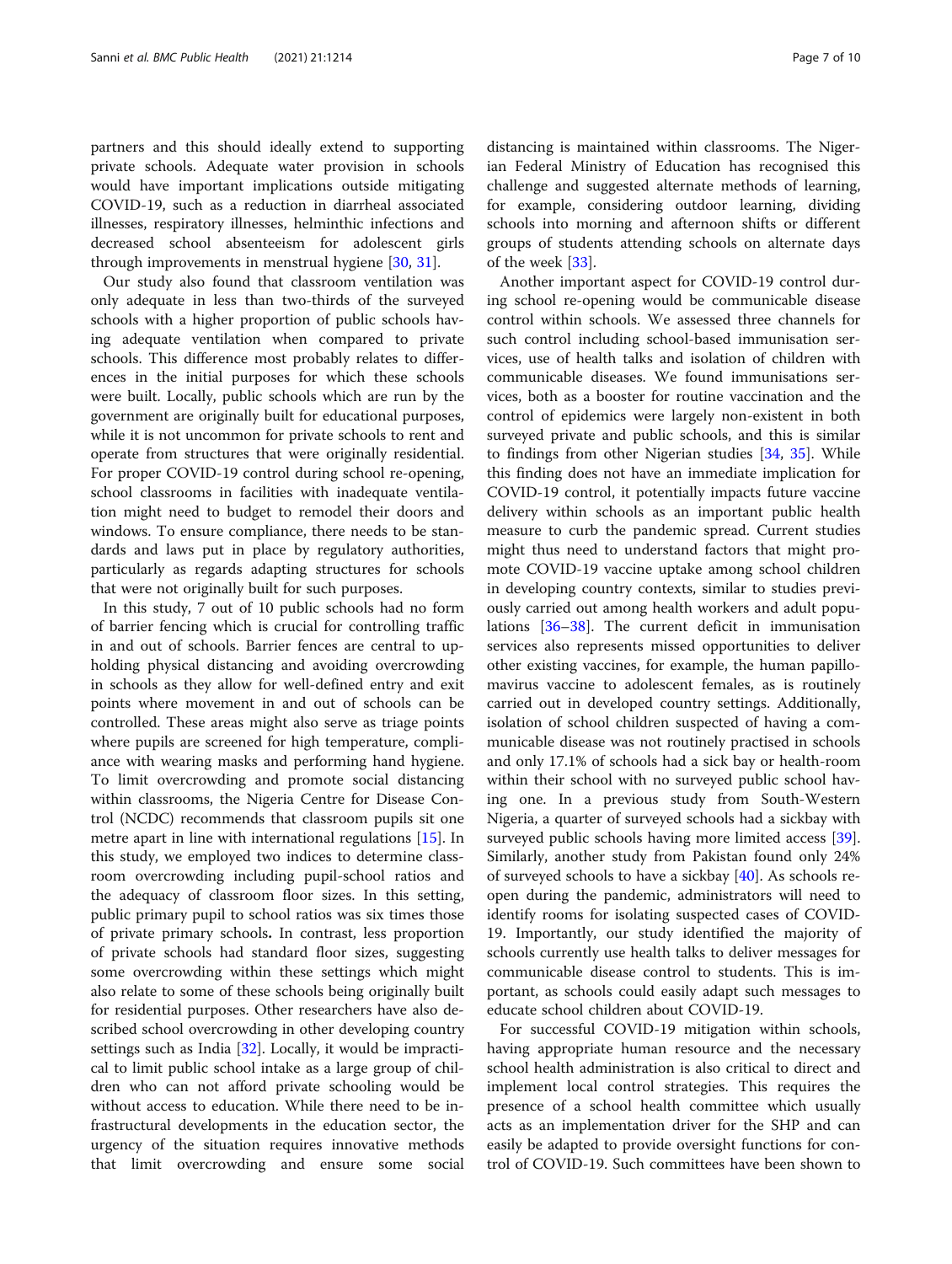partners and this should ideally extend to supporting private schools. Adequate water provision in schools would have important implications outside mitigating COVID-19, such as a reduction in diarrheal associated illnesses, respiratory illnesses, helminthic infections and decreased school absenteeism for adolescent girls through improvements in menstrual hygiene [[30,](#page-9-0) [31\]](#page-9-0).

Our study also found that classroom ventilation was only adequate in less than two-thirds of the surveyed schools with a higher proportion of public schools having adequate ventilation when compared to private schools. This difference most probably relates to differences in the initial purposes for which these schools were built. Locally, public schools which are run by the government are originally built for educational purposes, while it is not uncommon for private schools to rent and operate from structures that were originally residential. For proper COVID-19 control during school re-opening, school classrooms in facilities with inadequate ventilation might need to budget to remodel their doors and windows. To ensure compliance, there needs to be standards and laws put in place by regulatory authorities, particularly as regards adapting structures for schools that were not originally built for such purposes.

In this study, 7 out of 10 public schools had no form of barrier fencing which is crucial for controlling traffic in and out of schools. Barrier fences are central to upholding physical distancing and avoiding overcrowding in schools as they allow for well-defined entry and exit points where movement in and out of schools can be controlled. These areas might also serve as triage points where pupils are screened for high temperature, compliance with wearing masks and performing hand hygiene. To limit overcrowding and promote social distancing within classrooms, the Nigeria Centre for Disease Control (NCDC) recommends that classroom pupils sit one metre apart in line with international regulations [[15\]](#page-8-0). In this study, we employed two indices to determine classroom overcrowding including pupil-school ratios and the adequacy of classroom floor sizes. In this setting, public primary pupil to school ratios was six times those of private primary schools. In contrast, less proportion of private schools had standard floor sizes, suggesting some overcrowding within these settings which might also relate to some of these schools being originally built for residential purposes. Other researchers have also described school overcrowding in other developing country settings such as India [[32\]](#page-9-0). Locally, it would be impractical to limit public school intake as a large group of children who can not afford private schooling would be without access to education. While there need to be infrastructural developments in the education sector, the urgency of the situation requires innovative methods that limit overcrowding and ensure some social

distancing is maintained within classrooms. The Nigerian Federal Ministry of Education has recognised this challenge and suggested alternate methods of learning, for example, considering outdoor learning, dividing schools into morning and afternoon shifts or different groups of students attending schools on alternate days of the week [\[33\]](#page-9-0).

Another important aspect for COVID-19 control during school re-opening would be communicable disease control within schools. We assessed three channels for such control including school-based immunisation services, use of health talks and isolation of children with communicable diseases. We found immunisations services, both as a booster for routine vaccination and the control of epidemics were largely non-existent in both surveyed private and public schools, and this is similar to findings from other Nigerian studies [\[34](#page-9-0), [35](#page-9-0)]. While this finding does not have an immediate implication for COVID-19 control, it potentially impacts future vaccine delivery within schools as an important public health measure to curb the pandemic spread. Current studies might thus need to understand factors that might promote COVID-19 vaccine uptake among school children in developing country contexts, similar to studies previously carried out among health workers and adult populations [[36](#page-9-0)–[38\]](#page-9-0). The current deficit in immunisation services also represents missed opportunities to deliver other existing vaccines, for example, the human papillomavirus vaccine to adolescent females, as is routinely carried out in developed country settings. Additionally, isolation of school children suspected of having a communicable disease was not routinely practised in schools and only 17.1% of schools had a sick bay or health-room within their school with no surveyed public school having one. In a previous study from South-Western Nigeria, a quarter of surveyed schools had a sickbay with surveyed public schools having more limited access [\[39](#page-9-0)]. Similarly, another study from Pakistan found only 24% of surveyed schools to have a sickbay [\[40](#page-9-0)]. As schools reopen during the pandemic, administrators will need to identify rooms for isolating suspected cases of COVID-19. Importantly, our study identified the majority of schools currently use health talks to deliver messages for communicable disease control to students. This is important, as schools could easily adapt such messages to educate school children about COVID-19.

For successful COVID-19 mitigation within schools, having appropriate human resource and the necessary school health administration is also critical to direct and implement local control strategies. This requires the presence of a school health committee which usually acts as an implementation driver for the SHP and can easily be adapted to provide oversight functions for control of COVID-19. Such committees have been shown to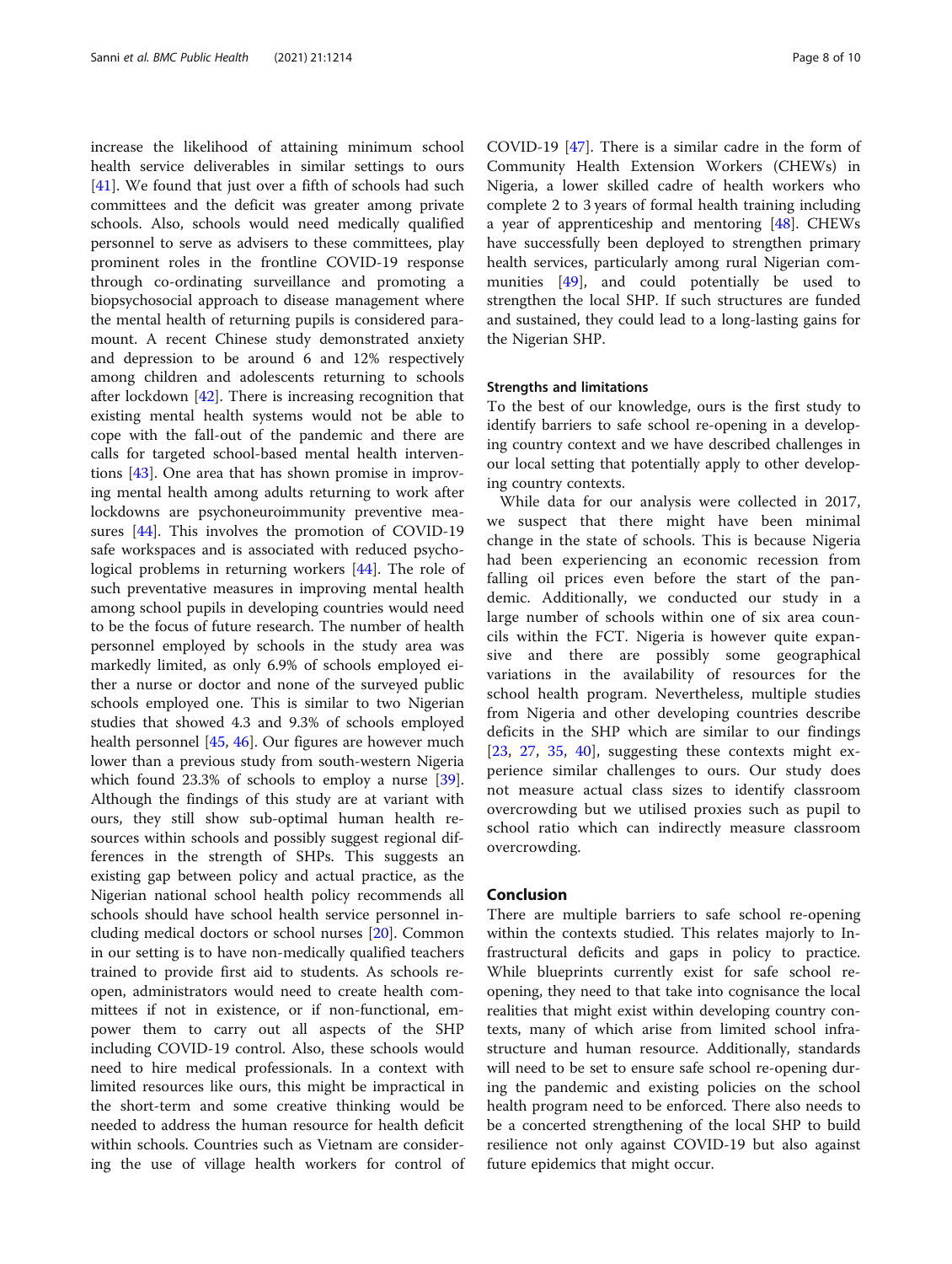increase the likelihood of attaining minimum school health service deliverables in similar settings to ours [[41\]](#page-9-0). We found that just over a fifth of schools had such committees and the deficit was greater among private schools. Also, schools would need medically qualified personnel to serve as advisers to these committees, play prominent roles in the frontline COVID-19 response through co-ordinating surveillance and promoting a biopsychosocial approach to disease management where the mental health of returning pupils is considered paramount. A recent Chinese study demonstrated anxiety and depression to be around 6 and 12% respectively among children and adolescents returning to schools after lockdown [\[42](#page-9-0)]. There is increasing recognition that existing mental health systems would not be able to cope with the fall-out of the pandemic and there are calls for targeted school-based mental health interventions [\[43](#page-9-0)]. One area that has shown promise in improving mental health among adults returning to work after lockdowns are psychoneuroimmunity preventive measures [[44\]](#page-9-0). This involves the promotion of COVID-19 safe workspaces and is associated with reduced psychological problems in returning workers [\[44](#page-9-0)]. The role of such preventative measures in improving mental health among school pupils in developing countries would need to be the focus of future research. The number of health personnel employed by schools in the study area was markedly limited, as only 6.9% of schools employed either a nurse or doctor and none of the surveyed public schools employed one. This is similar to two Nigerian studies that showed 4.3 and 9.3% of schools employed health personnel [\[45,](#page-9-0) [46\]](#page-9-0). Our figures are however much lower than a previous study from south-western Nigeria which found 23.3% of schools to employ a nurse [\[39](#page-9-0)]. Although the findings of this study are at variant with ours, they still show sub-optimal human health resources within schools and possibly suggest regional differences in the strength of SHPs. This suggests an existing gap between policy and actual practice, as the Nigerian national school health policy recommends all schools should have school health service personnel including medical doctors or school nurses [\[20](#page-8-0)]. Common in our setting is to have non-medically qualified teachers trained to provide first aid to students. As schools reopen, administrators would need to create health committees if not in existence, or if non-functional, empower them to carry out all aspects of the SHP including COVID-19 control. Also, these schools would need to hire medical professionals. In a context with limited resources like ours, this might be impractical in the short-term and some creative thinking would be needed to address the human resource for health deficit within schools. Countries such as Vietnam are considering the use of village health workers for control of

COVID-19 [\[47](#page-9-0)]. There is a similar cadre in the form of Community Health Extension Workers (CHEWs) in Nigeria, a lower skilled cadre of health workers who complete 2 to 3 years of formal health training including a year of apprenticeship and mentoring [[48\]](#page-9-0). CHEWs have successfully been deployed to strengthen primary health services, particularly among rural Nigerian communities [\[49](#page-9-0)], and could potentially be used to strengthen the local SHP. If such structures are funded and sustained, they could lead to a long-lasting gains for the Nigerian SHP.

### Strengths and limitations

To the best of our knowledge, ours is the first study to identify barriers to safe school re-opening in a developing country context and we have described challenges in our local setting that potentially apply to other developing country contexts.

While data for our analysis were collected in 2017, we suspect that there might have been minimal change in the state of schools. This is because Nigeria had been experiencing an economic recession from falling oil prices even before the start of the pandemic. Additionally, we conducted our study in a large number of schools within one of six area councils within the FCT. Nigeria is however quite expansive and there are possibly some geographical variations in the availability of resources for the school health program. Nevertheless, multiple studies from Nigeria and other developing countries describe deficits in the SHP which are similar to our findings [[23,](#page-8-0) [27](#page-9-0), [35,](#page-9-0) [40](#page-9-0)], suggesting these contexts might experience similar challenges to ours. Our study does not measure actual class sizes to identify classroom overcrowding but we utilised proxies such as pupil to school ratio which can indirectly measure classroom overcrowding.

# Conclusion

There are multiple barriers to safe school re-opening within the contexts studied. This relates majorly to Infrastructural deficits and gaps in policy to practice. While blueprints currently exist for safe school reopening, they need to that take into cognisance the local realities that might exist within developing country contexts, many of which arise from limited school infrastructure and human resource. Additionally, standards will need to be set to ensure safe school re-opening during the pandemic and existing policies on the school health program need to be enforced. There also needs to be a concerted strengthening of the local SHP to build resilience not only against COVID-19 but also against future epidemics that might occur.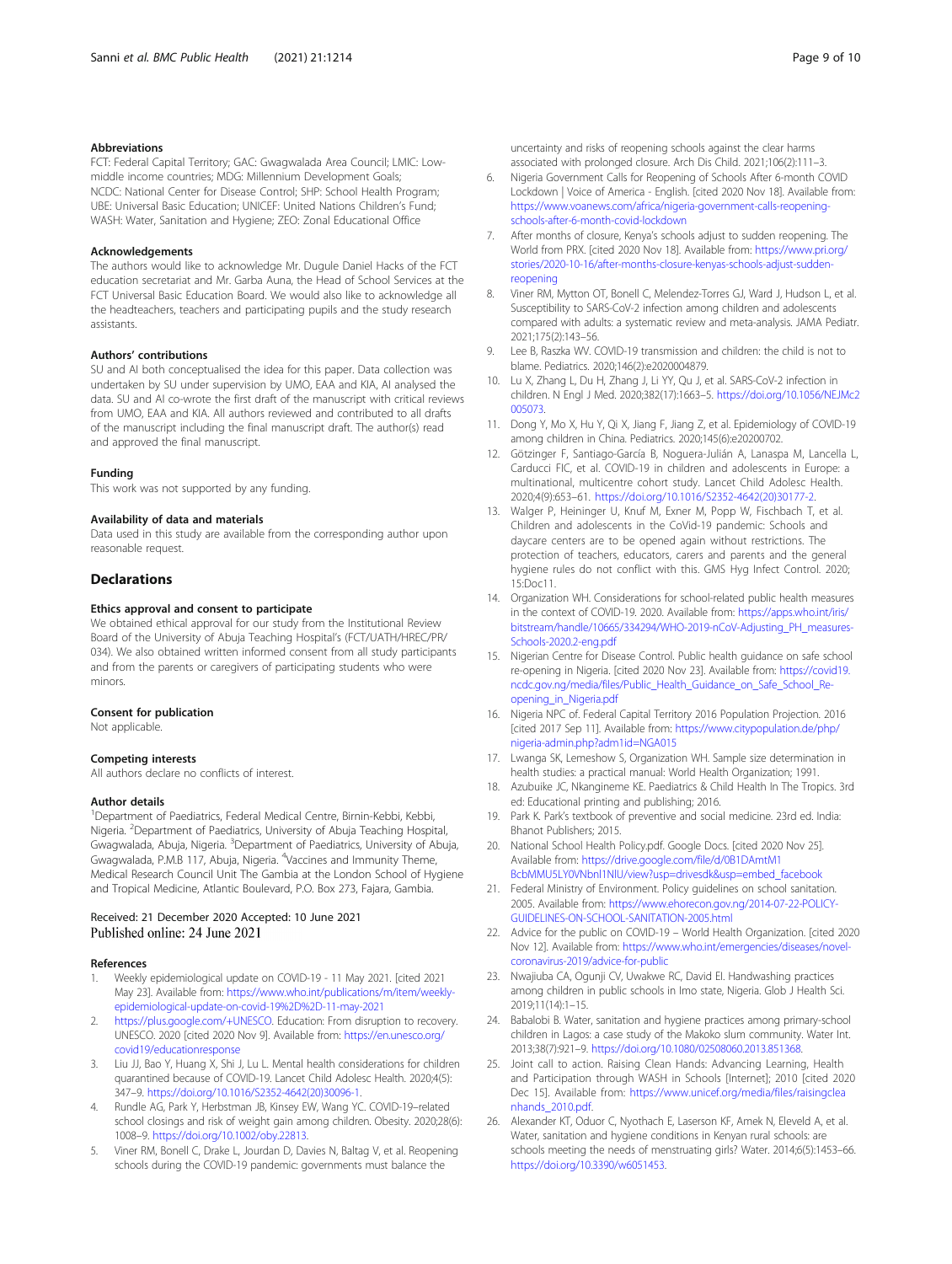# <span id="page-8-0"></span>Abbreviations

FCT: Federal Capital Territory; GAC: Gwagwalada Area Council; LMIC: Lowmiddle income countries; MDG: Millennium Development Goals; NCDC: National Center for Disease Control; SHP: School Health Program; UBE: Universal Basic Education; UNICEF: United Nations Children's Fund; WASH: Water, Sanitation and Hygiene; ZEO: Zonal Educational Office

#### Acknowledgements

The authors would like to acknowledge Mr. Dugule Daniel Hacks of the FCT education secretariat and Mr. Garba Auna, the Head of School Services at the FCT Universal Basic Education Board. We would also like to acknowledge all the headteachers, teachers and participating pupils and the study research assistants.

## Authors' contributions

SU and AI both conceptualised the idea for this paper. Data collection was undertaken by SU under supervision by UMO, EAA and KIA, AI analysed the data. SU and AI co-wrote the first draft of the manuscript with critical reviews from UMO, EAA and KIA. All authors reviewed and contributed to all drafts of the manuscript including the final manuscript draft. The author(s) read and approved the final manuscript.

#### Funding

This work was not supported by any funding.

#### Availability of data and materials

Data used in this study are available from the corresponding author upon reasonable request.

#### **Declarations**

#### Ethics approval and consent to participate

We obtained ethical approval for our study from the Institutional Review Board of the University of Abuja Teaching Hospital's (FCT/UATH/HREC/PR/ 034). We also obtained written informed consent from all study participants and from the parents or caregivers of participating students who were minors.

#### Consent for publication

Not applicable.

# Competing interests

All authors declare no conflicts of interest.

#### Author details

<sup>1</sup>Department of Paediatrics, Federal Medical Centre, Birnin-Kebbi, Kebbi, Nigeria. <sup>2</sup>Department of Paediatrics, University of Abuja Teaching Hospital, Gwagwalada, Abuja, Nigeria. <sup>3</sup>Department of Paediatrics, University of Abuja, Gwagwalada, P.M.B 117, Abuja, Nigeria. <sup>4</sup>Vaccines and Immunity Theme, Medical Research Council Unit The Gambia at the London School of Hygiene and Tropical Medicine, Atlantic Boulevard, P.O. Box 273, Fajara, Gambia.

# Received: 21 December 2020 Accepted: 10 June 2021

#### References

- 1. Weekly epidemiological update on COVID-19 11 May 2021. [cited 2021 May 23]. Available from: [https://www.who.int/publications/m/item/weekly](https://www.who.int/publications/m/item/weekly-epidemiological-update-on-covid-19%2D%2D-11-may-2021)[epidemiological-update-on-covid-19%2D%2D-11-may-2021](https://www.who.int/publications/m/item/weekly-epidemiological-update-on-covid-19%2D%2D-11-may-2021)
- <https://plus.google.com/+UNESCO>. Education: From disruption to recovery. UNESCO. 2020 [cited 2020 Nov 9]. Available from: [https://en.unesco.org/](https://en.unesco.org/covid19/educationresponse) [covid19/educationresponse](https://en.unesco.org/covid19/educationresponse)
- 3. Liu JJ, Bao Y, Huang X, Shi J, Lu L. Mental health considerations for children quarantined because of COVID-19. Lancet Child Adolesc Health. 2020;4(5): 347–9. [https://doi.org/10.1016/S2352-4642\(20\)30096-1](https://doi.org/10.1016/S2352-4642(20)30096-1).
- 4. Rundle AG, Park Y, Herbstman JB, Kinsey EW, Wang YC. COVID-19–related school closings and risk of weight gain among children. Obesity. 2020;28(6): 1008–9. [https://doi.org/10.1002/oby.22813.](https://doi.org/10.1002/oby.22813)
- Viner RM, Bonell C, Drake L, Jourdan D, Davies N, Baltag V, et al. Reopening schools during the COVID-19 pandemic: governments must balance the

uncertainty and risks of reopening schools against the clear harms associated with prolonged closure. Arch Dis Child. 2021;106(2):111–3.

- 6. Nigeria Government Calls for Reopening of Schools After 6-month COVID Lockdown | Voice of America - English. [cited 2020 Nov 18]. Available from: [https://www.voanews.com/africa/nigeria-government-calls-reopening](https://www.voanews.com/africa/nigeria-government-calls-reopening-schools-after-6-month-covid-lockdown)[schools-after-6-month-covid-lockdown](https://www.voanews.com/africa/nigeria-government-calls-reopening-schools-after-6-month-covid-lockdown)
- 7. After months of closure, Kenya's schools adjust to sudden reopening. The World from PRX. [cited 2020 Nov 18]. Available from: [https://www.pri.org/](https://www.pri.org/stories/2020-10-16/after-months-closure-kenyas-schools-adjust-sudden-reopening) [stories/2020-10-16/after-months-closure-kenyas-schools-adjust-sudden](https://www.pri.org/stories/2020-10-16/after-months-closure-kenyas-schools-adjust-sudden-reopening)[reopening](https://www.pri.org/stories/2020-10-16/after-months-closure-kenyas-schools-adjust-sudden-reopening)
- 8. Viner RM, Mytton OT, Bonell C, Melendez-Torres GJ, Ward J, Hudson L, et al. Susceptibility to SARS-CoV-2 infection among children and adolescents compared with adults: a systematic review and meta-analysis. JAMA Pediatr. 2021;175(2):143–56.
- 9. Lee B, Raszka WV. COVID-19 transmission and children: the child is not to blame. Pediatrics. 2020;146(2):e2020004879.
- 10. Lu X, Zhang L, Du H, Zhang J, Li YY, Qu J, et al. SARS-CoV-2 infection in children. N Engl J Med. 2020;382(17):1663–5. [https://doi.org/10.1056/NEJMc2](https://doi.org/10.1056/NEJMc2005073) [005073](https://doi.org/10.1056/NEJMc2005073).
- 11. Dong Y, Mo X, Hu Y, Qi X, Jiang F, Jiang Z, et al. Epidemiology of COVID-19 among children in China. Pediatrics. 2020;145(6):e20200702.
- 12. Götzinger F, Santiago-García B, Noguera-Julián A, Lanaspa M, Lancella L, Carducci FIC, et al. COVID-19 in children and adolescents in Europe: a multinational, multicentre cohort study. Lancet Child Adolesc Health. 2020;4(9):653–61. [https://doi.org/10.1016/S2352-4642\(20\)30177-2](https://doi.org/10.1016/S2352-4642(20)30177-2).
- 13. Walger P, Heininger U, Knuf M, Exner M, Popp W, Fischbach T, et al. Children and adolescents in the CoVid-19 pandemic: Schools and daycare centers are to be opened again without restrictions. The protection of teachers, educators, carers and parents and the general hygiene rules do not conflict with this. GMS Hyg Infect Control. 2020; 15:Doc11.
- 14. Organization WH. Considerations for school-related public health measures in the context of COVID-19. 2020. Available from: [https://apps.who.int/iris/](https://apps.who.int/iris/bitstream/handle/10665/334294/WHO-2019-nCoV-Adjusting_PH_measures-Schools-2020.2-eng.pdf) [bitstream/handle/10665/334294/WHO-2019-nCoV-Adjusting\\_PH\\_measures-](https://apps.who.int/iris/bitstream/handle/10665/334294/WHO-2019-nCoV-Adjusting_PH_measures-Schools-2020.2-eng.pdf)[Schools-2020.2-eng.pdf](https://apps.who.int/iris/bitstream/handle/10665/334294/WHO-2019-nCoV-Adjusting_PH_measures-Schools-2020.2-eng.pdf)
- 15. Nigerian Centre for Disease Control. Public health guidance on safe school re-opening in Nigeria. [cited 2020 Nov 23]. Available from: [https://covid19.](https://covid19.ncdc.gov.ng/media/files/Public_Health_Guidance_on_Safe_School_Re-opening_in_Nigeria.pdf) [ncdc.gov.ng/media/files/Public\\_Health\\_Guidance\\_on\\_Safe\\_School\\_Re](https://covid19.ncdc.gov.ng/media/files/Public_Health_Guidance_on_Safe_School_Re-opening_in_Nigeria.pdf)[opening\\_in\\_Nigeria.pdf](https://covid19.ncdc.gov.ng/media/files/Public_Health_Guidance_on_Safe_School_Re-opening_in_Nigeria.pdf)
- 16. Nigeria NPC of. Federal Capital Territory 2016 Population Projection. 2016 [cited 2017 Sep 11]. Available from: [https://www.citypopulation.de/php/](https://www.citypopulation.de/php/nigeria-admin.php?adm1id=NGA015) [nigeria-admin.php?adm1id=NGA015](https://www.citypopulation.de/php/nigeria-admin.php?adm1id=NGA015)
- 17. Lwanga SK, Lemeshow S, Organization WH. Sample size determination in health studies: a practical manual: World Health Organization; 1991.
- 18. Azubuike JC, Nkangineme KE. Paediatrics & Child Health In The Tropics. 3rd ed: Educational printing and publishing; 2016.
- 19. Park K. Park's textbook of preventive and social medicine. 23rd ed. India: Bhanot Publishers; 2015.
- 20. National School Health Policy.pdf. Google Docs. [cited 2020 Nov 25]. Available from: [https://drive.google.com/file/d/0B1DAmtM1](https://drive.google.com/file/d/0B1DAmtM1BcbMMU5LY0VNbnl1NlU/view?usp=drivesdk&usp=embed_facebook) [BcbMMU5LY0VNbnl1NlU/view?usp=drivesdk&usp=embed\\_facebook](https://drive.google.com/file/d/0B1DAmtM1BcbMMU5LY0VNbnl1NlU/view?usp=drivesdk&usp=embed_facebook)
- 21. Federal Ministry of Environment. Policy guidelines on school sanitation. 2005. Available from: [https://www.ehorecon.gov.ng/2014-07-22-POLICY-](https://www.ehorecon.gov.ng/2014-07-22-POLICY-GUIDELINES-ON-SCHOOL-SANITATION-2005.html)[GUIDELINES-ON-SCHOOL-SANITATION-2005.html](https://www.ehorecon.gov.ng/2014-07-22-POLICY-GUIDELINES-ON-SCHOOL-SANITATION-2005.html)
- 22. Advice for the public on COVID-19 World Health Organization. [cited 2020 Nov 12]. Available from: [https://www.who.int/emergencies/diseases/novel](https://www.who.int/emergencies/diseases/novel-coronavirus-2019/advice-for-public)[coronavirus-2019/advice-for-public](https://www.who.int/emergencies/diseases/novel-coronavirus-2019/advice-for-public)
- 23. Nwajiuba CA, Ogunji CV, Uwakwe RC, David EI. Handwashing practices among children in public schools in Imo state, Nigeria. Glob J Health Sci. 2019;11(14):1–15.
- 24. Babalobi B. Water, sanitation and hygiene practices among primary-school children in Lagos: a case study of the Makoko slum community. Water Int. 2013;38(7):921–9. <https://doi.org/10.1080/02508060.2013.851368>.
- 25. Joint call to action. Raising Clean Hands: Advancing Learning, Health and Participation through WASH in Schools [Internet]; 2010 [cited 2020 Dec 15]. Available from: [https://www.unicef.org/media/files/raisingclea](https://www.unicef.org/media/files/raisingcleanhands_2010.pdf) [nhands\\_2010.pdf](https://www.unicef.org/media/files/raisingcleanhands_2010.pdf).
- 26. Alexander KT, Oduor C, Nyothach E, Laserson KF, Amek N, Eleveld A, et al. Water, sanitation and hygiene conditions in Kenyan rural schools: are schools meeting the needs of menstruating girls? Water. 2014;6(5):1453–66. [https://doi.org/10.3390/w6051453.](https://doi.org/10.3390/w6051453)